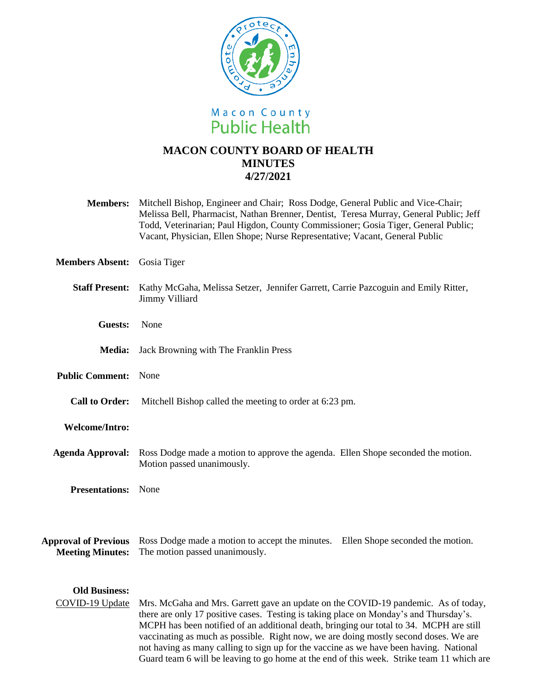

# **MACON COUNTY BOARD OF HEALTH MINUTES 4/27/2021**

| <b>Members:</b> | Mitchell Bishop, Engineer and Chair; Ross Dodge, General Public and Vice-Chair;        |
|-----------------|----------------------------------------------------------------------------------------|
|                 | Melissa Bell, Pharmacist, Nathan Brenner, Dentist, Teresa Murray, General Public; Jeff |
|                 | Todd, Veterinarian; Paul Higdon, County Commissioner; Gosia Tiger, General Public;     |
|                 | Vacant, Physician, Ellen Shope; Nurse Representative; Vacant, General Public           |

**Members Absent:** Gosia Tiger

## **Staff Present:** Kathy McGaha, Melissa Setzer, Jennifer Garrett, Carrie Pazcoguin and Emily Ritter, Jimmy Villiard

- **Guests:** None
- **Media:** Jack Browning with The Franklin Press
- **Public Comment:** None
	- **Call to Order:** Mitchell Bishop called the meeting to order at 6:23 pm.

#### **Welcome/Intro:**

- **Agenda Approval:** Ross Dodge made a motion to approve the agenda. Ellen Shope seconded the motion. Motion passed unanimously.
	- **Presentations:** None

**Approval of Previous**  Ross Dodge made a motion to accept the minutes. Ellen Shope seconded the motion. **Meeting Minutes:** The motion passed unanimously.

## **Old Business:**

COVID-19 Update Mrs. McGaha and Mrs. Garrett gave an update on the COVID-19 pandemic. As of today, there are only 17 positive cases. Testing is taking place on Monday's and Thursday's. MCPH has been notified of an additional death, bringing our total to 34. MCPH are still vaccinating as much as possible. Right now, we are doing mostly second doses. We are not having as many calling to sign up for the vaccine as we have been having. National Guard team 6 will be leaving to go home at the end of this week. Strike team 11 which are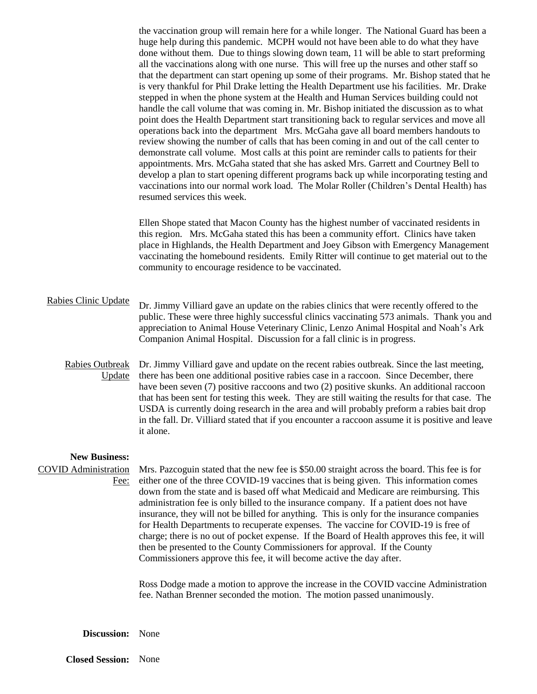the vaccination group will remain here for a while longer. The National Guard has been a huge help during this pandemic. MCPH would not have been able to do what they have done without them. Due to things slowing down team, 11 will be able to start preforming all the vaccinations along with one nurse. This will free up the nurses and other staff so that the department can start opening up some of their programs. Mr. Bishop stated that he is very thankful for Phil Drake letting the Health Department use his facilities. Mr. Drake stepped in when the phone system at the Health and Human Services building could not handle the call volume that was coming in. Mr. Bishop initiated the discussion as to what point does the Health Department start transitioning back to regular services and move all operations back into the department Mrs. McGaha gave all board members handouts to review showing the number of calls that has been coming in and out of the call center to demonstrate call volume. Most calls at this point are reminder calls to patients for their appointments. Mrs. McGaha stated that she has asked Mrs. Garrett and Courtney Bell to develop a plan to start opening different programs back up while incorporating testing and vaccinations into our normal work load. The Molar Roller (Children's Dental Health) has resumed services this week.

Ellen Shope stated that Macon County has the highest number of vaccinated residents in this region. Mrs. McGaha stated this has been a community effort. Clinics have taken place in Highlands, the Health Department and Joey Gibson with Emergency Management vaccinating the homebound residents. Emily Ritter will continue to get material out to the community to encourage residence to be vaccinated.

#### Rabies Clinic Update Dr. Jimmy Villiard gave an update on the rabies clinics that were recently offered to the public. These were three highly successful clinics vaccinating 573 animals. Thank you and appreciation to Animal House Veterinary Clinic, Lenzo Animal Hospital and Noah's Ark Companion Animal Hospital. Discussion for a fall clinic is in progress.

Rabies Outbreak Update there has been one additional positive rabies case in a raccoon. Since December, there Dr. Jimmy Villiard gave and update on the recent rabies outbreak. Since the last meeting, have been seven (7) positive raccoons and two (2) positive skunks. An additional raccoon that has been sent for testing this week. They are still waiting the results for that case. The USDA is currently doing research in the area and will probably preform a rabies bait drop in the fall. Dr. Villiard stated that if you encounter a raccoon assume it is positive and leave it alone.

## **New Business:**

COVID Administration Mrs. Pazcoguin stated that the new fee is \$50.00 straight across the board. This fee is for Fee: either one of the three COVID-19 vaccines that is being given. This information comes down from the state and is based off what Medicaid and Medicare are reimbursing. This administration fee is only billed to the insurance company. If a patient does not have insurance, they will not be billed for anything. This is only for the insurance companies for Health Departments to recuperate expenses. The vaccine for COVID-19 is free of charge; there is no out of pocket expense. If the Board of Health approves this fee, it will then be presented to the County Commissioners for approval. If the County Commissioners approve this fee, it will become active the day after.

> Ross Dodge made a motion to approve the increase in the COVID vaccine Administration fee. Nathan Brenner seconded the motion. The motion passed unanimously.

**Discussion:** None